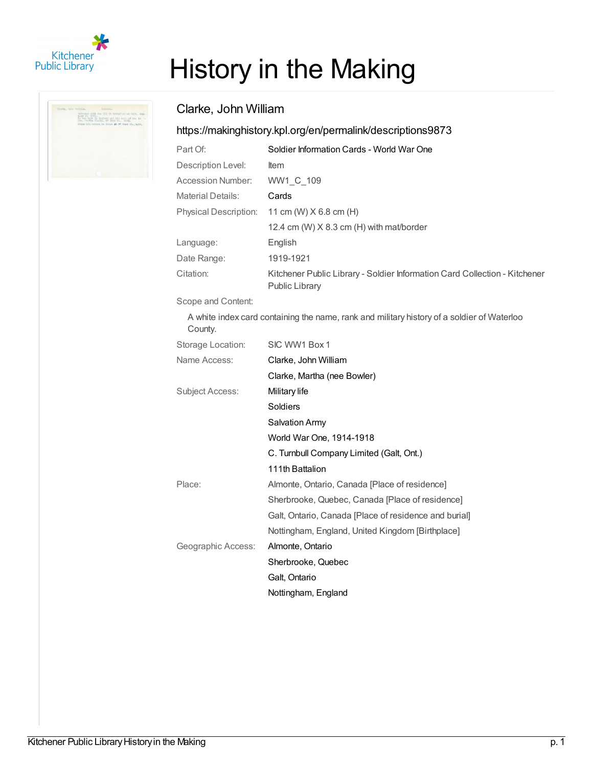

| Indianal with the TIT in Bettelling at Oilt, Aus-<br>Finor Alk switch by fives 46 NY Head St., Salk, |
|------------------------------------------------------------------------------------------------------|
|                                                                                                      |
|                                                                                                      |

## History in the Making

## Clarke, John William

## <https://makinghistory.kpl.org/en/permalink/descriptions9873>

| Part Of:                 | Soldier Information Cards - World War One                                                    |
|--------------------------|----------------------------------------------------------------------------------------------|
| Description Level:       | <b>Item</b>                                                                                  |
| Accession Number:        | WW1 C 109                                                                                    |
| <b>Material Details:</b> | Cards                                                                                        |
| Physical Description:    | 11 cm (W) $X$ 6.8 cm (H)                                                                     |
|                          | 12.4 cm (W) X 8.3 cm (H) with mat/border                                                     |
| Language:                | English                                                                                      |
| Date Range:              | 1919-1921                                                                                    |
| Citation:                | Kitchener Public Library - Soldier Information Card Collection - Kitchener<br>Public Library |

Scope and Content:

A white index card containing the name, rank and military history of a soldier of Waterloo County.

| Storage Location:  | SIC WW1 Box 1                                         |
|--------------------|-------------------------------------------------------|
| Name Access:       | Clarke, John William                                  |
|                    | Clarke, Martha (nee Bowler)                           |
| Subject Access:    | Military life                                         |
|                    | Soldiers                                              |
|                    | <b>Salvation Army</b>                                 |
|                    | World War One, 1914-1918                              |
|                    | C. Turnbull Company Limited (Galt, Ont.)              |
|                    | 111th Battalion                                       |
| Place:             | Almonte, Ontario, Canada [Place of residence]         |
|                    | Sherbrooke, Quebec, Canada [Place of residence]       |
|                    | Galt, Ontario, Canada [Place of residence and burial] |
|                    | Nottingham, England, United Kingdom [Birthplace]      |
| Geographic Access: | Almonte, Ontario                                      |
|                    | Sherbrooke, Quebec                                    |
|                    | Galt, Ontario                                         |
|                    | Nottingham, England                                   |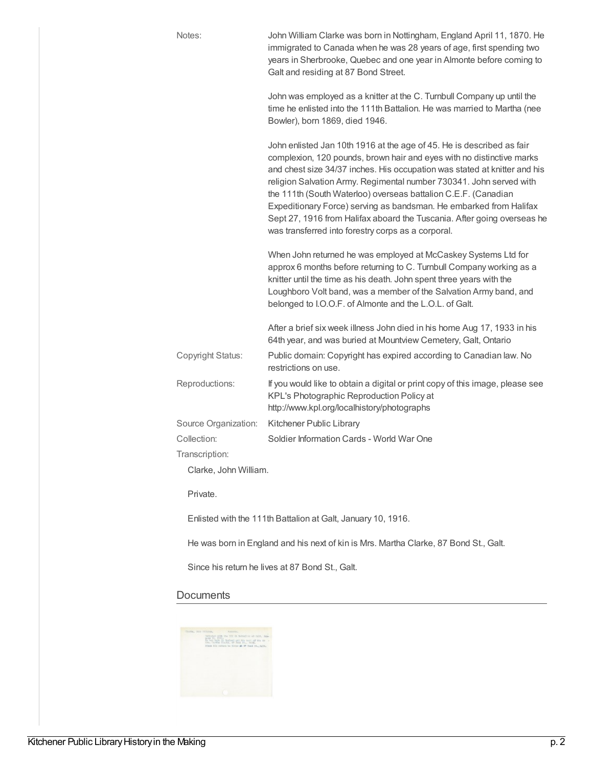| Notes:                   | John William Clarke was born in Nottingham, England April 11, 1870. He<br>immigrated to Canada when he was 28 years of age, first spending two<br>years in Sherbrooke, Quebec and one year in Almonte before coming to<br>Galt and residing at 87 Bond Street.                                                                                                                                                                                                                                                                                                              |
|--------------------------|-----------------------------------------------------------------------------------------------------------------------------------------------------------------------------------------------------------------------------------------------------------------------------------------------------------------------------------------------------------------------------------------------------------------------------------------------------------------------------------------------------------------------------------------------------------------------------|
|                          | John was employed as a knitter at the C. Turnbull Company up until the<br>time he enlisted into the 111th Battalion. He was married to Martha (nee<br>Bowler), born 1869, died 1946.                                                                                                                                                                                                                                                                                                                                                                                        |
|                          | John enlisted Jan 10th 1916 at the age of 45. He is described as fair<br>complexion, 120 pounds, brown hair and eyes with no distinctive marks<br>and chest size 34/37 inches. His occupation was stated at knitter and his<br>religion Salvation Army. Regimental number 730341. John served with<br>the 111th (South Waterloo) overseas battalion C.E.F. (Canadian<br>Expeditionary Force) serving as bandsman. He embarked from Halifax<br>Sept 27, 1916 from Halifax aboard the Tuscania. After going overseas he<br>was transferred into forestry corps as a corporal. |
|                          | When John returned he was employed at McCaskey Systems Ltd for<br>approx 6 months before returning to C. Turnbull Company working as a<br>knitter until the time as his death. John spent three years with the<br>Loughboro Volt band, was a member of the Salvation Army band, and<br>belonged to I.O.O.F. of Almonte and the L.O.L. of Galt.                                                                                                                                                                                                                              |
|                          | After a brief six week illness John died in his home Aug 17, 1933 in his<br>64th year, and was buried at Mountview Cemetery, Galt, Ontario                                                                                                                                                                                                                                                                                                                                                                                                                                  |
| <b>Copyright Status:</b> | Public domain: Copyright has expired according to Canadian law. No<br>restrictions on use.                                                                                                                                                                                                                                                                                                                                                                                                                                                                                  |
| Reproductions:           | If you would like to obtain a digital or print copy of this image, please see<br>KPL's Photographic Reproduction Policy at<br>http://www.kpl.org/localhistory/photographs                                                                                                                                                                                                                                                                                                                                                                                                   |
| Source Organization:     | Kitchener Public Library                                                                                                                                                                                                                                                                                                                                                                                                                                                                                                                                                    |
| Collection:              | Soldier Information Cards - World War One                                                                                                                                                                                                                                                                                                                                                                                                                                                                                                                                   |
| Transcription:           |                                                                                                                                                                                                                                                                                                                                                                                                                                                                                                                                                                             |
| Clarke, John William.    |                                                                                                                                                                                                                                                                                                                                                                                                                                                                                                                                                                             |
| Private.                 |                                                                                                                                                                                                                                                                                                                                                                                                                                                                                                                                                                             |
|                          | Enlisted with the 111th Battalion at Galt, January 10, 1916.                                                                                                                                                                                                                                                                                                                                                                                                                                                                                                                |

He was born in England and his next of kin is Mrs. Martha Clarke, 87 Bond St., Galt.

Since his return he lives at 87 Bond St., Galt.

## **Documents**